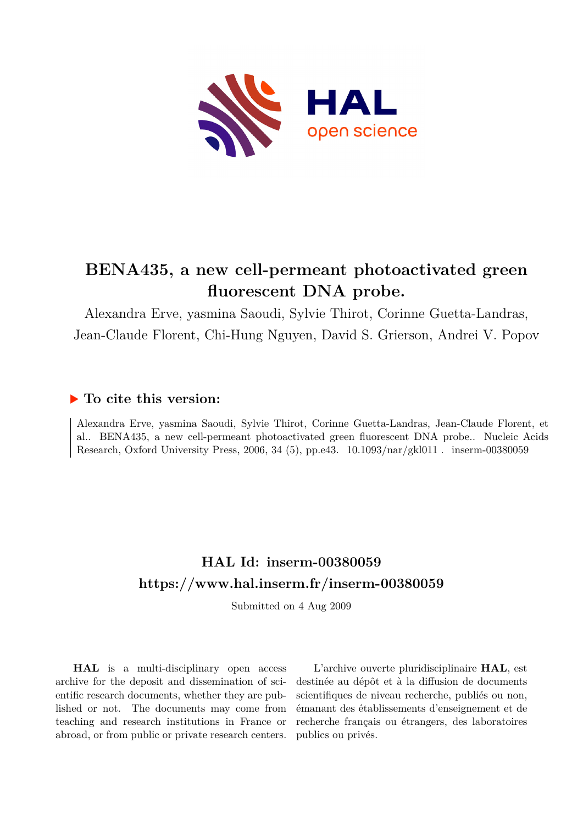

## **BENA435, a new cell-permeant photoactivated green fluorescent DNA probe.**

Alexandra Erve, yasmina Saoudi, Sylvie Thirot, Corinne Guetta-Landras, Jean-Claude Florent, Chi-Hung Nguyen, David S. Grierson, Andrei V. Popov

### **To cite this version:**

Alexandra Erve, yasmina Saoudi, Sylvie Thirot, Corinne Guetta-Landras, Jean-Claude Florent, et al.. BENA435, a new cell-permeant photoactivated green fluorescent DNA probe.. Nucleic Acids Research, Oxford University Press, 2006, 34 (5), pp.e43.  $10.1093/nar/gkl011$ . inserm-00380059

### **HAL Id: inserm-00380059 <https://www.hal.inserm.fr/inserm-00380059>**

Submitted on 4 Aug 2009

**HAL** is a multi-disciplinary open access archive for the deposit and dissemination of scientific research documents, whether they are published or not. The documents may come from teaching and research institutions in France or abroad, or from public or private research centers.

L'archive ouverte pluridisciplinaire **HAL**, est destinée au dépôt et à la diffusion de documents scientifiques de niveau recherche, publiés ou non, émanant des établissements d'enseignement et de recherche français ou étrangers, des laboratoires publics ou privés.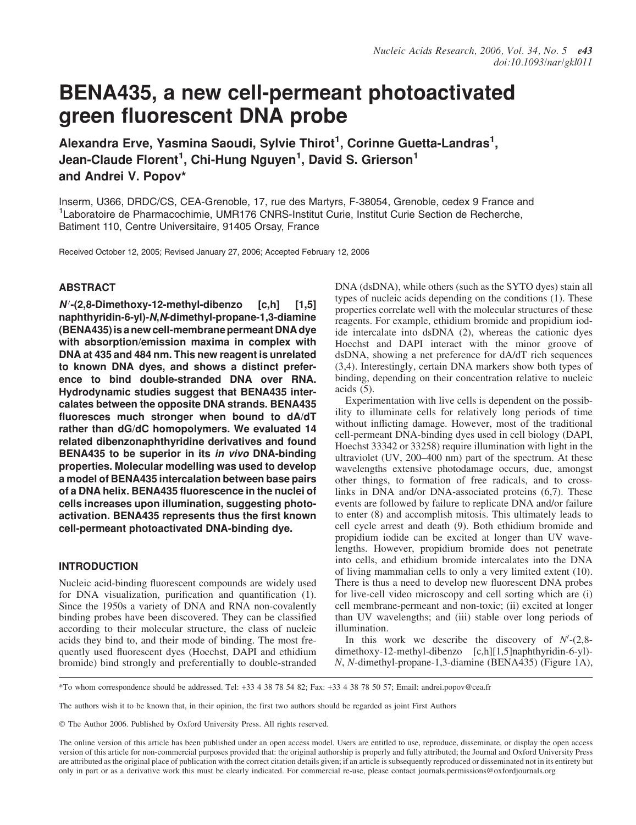# BENA435, a new cell-permeant photoactivated green fluorescent DNA probe

Alexandra Erve, Yasmina Saoudi, Sylvie Thirot<sup>1</sup>, Corinne Guetta-Landras<sup>1</sup>, Jean-Claude Florent<sup>1</sup>, Chi-Hung Nguyen<sup>1</sup>, David S. Grierson<sup>1</sup> and Andrei V. Popov\*

Inserm, U366, DRDC/CS, CEA-Grenoble, 17, rue des Martyrs, F-38054, Grenoble, cedex 9 France and <sup>1</sup> Laboratoire de Pharmacochimie, UMR176 CNRS-Institut Curie, Institut Curie Section de Recherche, Batiment 110, Centre Universitaire, 91405 Orsay, France

Received October 12, 2005; Revised January 27, 2006; Accepted February 12, 2006

#### **ABSTRACT**

N'-(2,8-Dimethoxy-12-methyl-dibenzo [c,h] [1,5] naphthyridin-6-yl)-N,N-dimethyl-propane-1,3-diamine (BENA435) is a new cell-membrane permeant DNA dye with absorption/emission maxima in complex with DNA at 435 and 484 nm. This new reagent is unrelated to known DNA dyes, and shows a distinct preference to bind double-stranded DNA over RNA. Hydrodynamic studies suggest that BENA435 intercalates between the opposite DNA strands. BENA435 fluoresces much stronger when bound to dA/dT rather than dG/dC homopolymers. We evaluated 14 related dibenzonaphthyridine derivatives and found BENA435 to be superior in its in vivo DNA-binding properties. Molecular modelling was used to develop a model of BENA435 intercalation between base pairs of a DNA helix. BENA435 fluorescence in the nuclei of cells increases upon illumination, suggesting photoactivation. BENA435 represents thus the first known cell-permeant photoactivated DNA-binding dye.

#### INTRODUCTION

Nucleic acid-binding fluorescent compounds are widely used for DNA visualization, purification and quantification (1). Since the 1950s a variety of DNA and RNA non-covalently binding probes have been discovered. They can be classified according to their molecular structure, the class of nucleic acids they bind to, and their mode of binding. The most frequently used fluorescent dyes (Hoechst, DAPI and ethidium bromide) bind strongly and preferentially to double-stranded DNA (dsDNA), while others (such as the SYTO dyes) stain all types of nucleic acids depending on the conditions (1). These properties correlate well with the molecular structures of these reagents. For example, ethidium bromide and propidium iodide intercalate into dsDNA (2), whereas the cationic dyes Hoechst and DAPI interact with the minor groove of dsDNA, showing a net preference for dA/dT rich sequences (3,4). Interestingly, certain DNA markers show both types of binding, depending on their concentration relative to nucleic acids (5).

Experimentation with live cells is dependent on the possibility to illuminate cells for relatively long periods of time without inflicting damage. However, most of the traditional cell-permeant DNA-binding dyes used in cell biology (DAPI, Hoechst 33342 or 33258) require illumination with light in the ultraviolet (UV, 200–400 nm) part of the spectrum. At these wavelengths extensive photodamage occurs, due, amongst other things, to formation of free radicals, and to crosslinks in DNA and/or DNA-associated proteins (6,7). These events are followed by failure to replicate DNA and/or failure to enter (8) and accomplish mitosis. This ultimately leads to cell cycle arrest and death (9). Both ethidium bromide and propidium iodide can be excited at longer than UV wavelengths. However, propidium bromide does not penetrate into cells, and ethidium bromide intercalates into the DNA of living mammalian cells to only a very limited extent (10). There is thus a need to develop new fluorescent DNA probes for live-cell video microscopy and cell sorting which are (i) cell membrane-permeant and non-toxic; (ii) excited at longer than UV wavelengths; and (iii) stable over long periods of illumination.

In this work we describe the discovery of  $N'$ -(2,8dimethoxy-12-methyl-dibenzo [c,h][1,5]naphthyridin-6-yl)-N, N-dimethyl-propane-1,3-diamine (BENA435) (Figure 1A),

\*To whom correspondence should be addressed. Tel: +33 4 38 78 54 82; Fax: +33 4 38 78 50 57; Email: andrei.popov@cea.fr

The authors wish it to be known that, in their opinion, the first two authors should be regarded as joint First Authors

- The Author 2006. Published by Oxford University Press. All rights reserved.

The online version of this article has been published under an open access model. Users are entitled to use, reproduce, disseminate, or display the open access version of this article for non-commercial purposes provided that: the original authorship is properly and fully attributed; the Journal and Oxford University Press are attributed as the original place of publication with the correct citation details given; if an article is subsequently reproduced or disseminated not in its entirety but only in part or as a derivative work this must be clearly indicated. For commercial re-use, please contact journals.permissions@oxfordjournals.org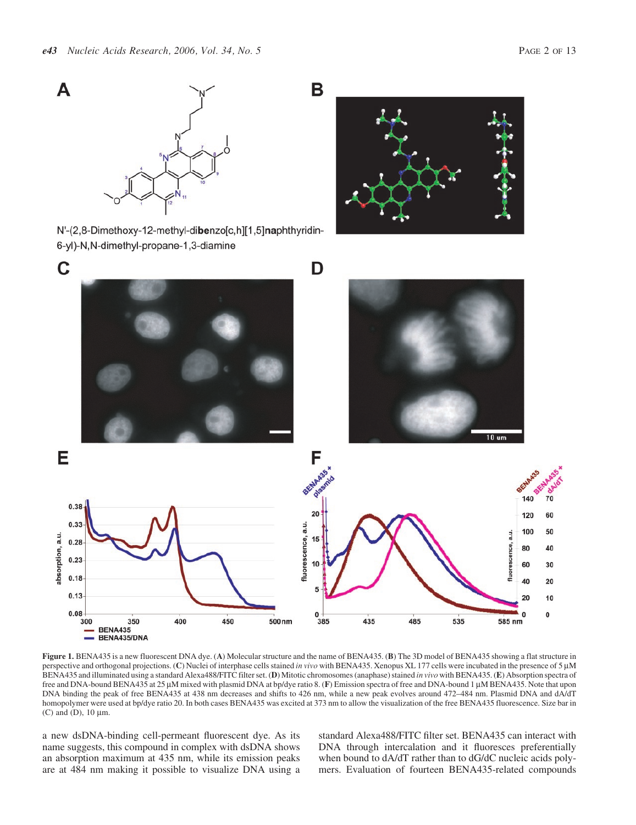

Figure 1. BENA435 is a new fluorescent DNA dye. (A) Molecular structure and the name of BENA435. (B) The 3D model of BENA435 showing a flat structure in perspective and orthogonal projections. (C) Nuclei of interphase cells stained in vivo with BENA435. Xenopus XL 177 cells were incubated in the presence of 5 µM BENA435 and illuminated using a standard Alexa488/FITC filter set. (D) Mitotic chromosomes (anaphase) stained in vivo with BENA435. (E) Absorption spectra of free and DNA-bound BENA435 at 25 µM mixed with plasmid DNA at bp/dye ratio 8. (F) Emission spectra of free and DNA-bound 1 µM BENA435. Note that upon DNA binding the peak of free BENA435 at 438 nm decreases and shifts to 426 nm, while a new peak evolves around 472–484 nm. Plasmid DNA and dA/dT homopolymer were used at bp/dye ratio 20. In both cases BENA435 was excited at 373 nm to allow the visualization of the free BENA435 fluorescence. Size bar in (C) and  $(D)$ , 10  $\mu$ m.

a new dsDNA-binding cell-permeant fluorescent dye. As its name suggests, this compound in complex with dsDNA shows an absorption maximum at 435 nm, while its emission peaks are at 484 nm making it possible to visualize DNA using a standard Alexa488/FITC filter set. BENA435 can interact with DNA through intercalation and it fluoresces preferentially when bound to dA/dT rather than to dG/dC nucleic acids polymers. Evaluation of fourteen BENA435-related compounds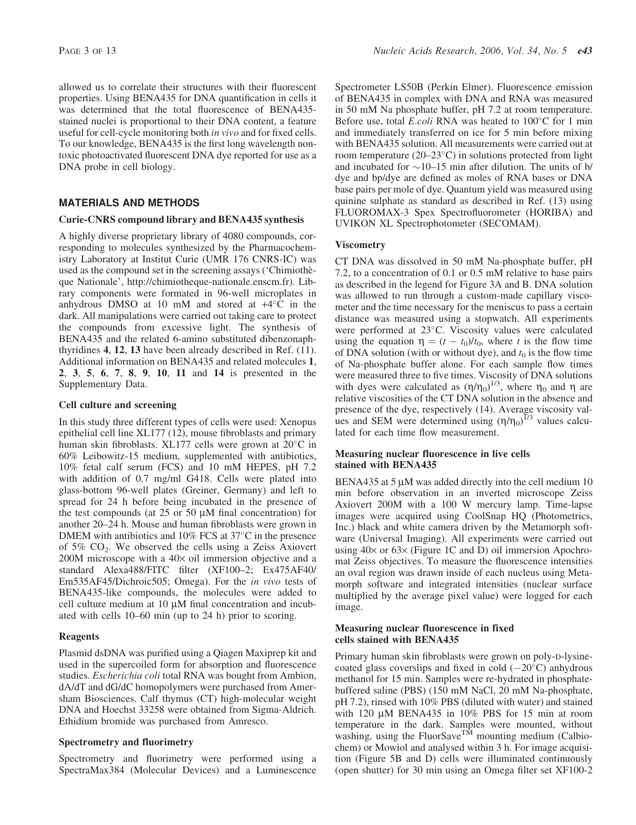allowed us to correlate their structures with their fluorescent properties. Using BENA435 for DNA quantification in cells it was determined that the total fluorescence of BENA435 stained nuclei is proportional to their DNA content, a feature useful for cell-cycle monitoring both in vivo and for fixed cells. To our knowledge, BENA435 is the first long wavelength nontoxic photoactivated fluorescent DNA dye reported for use as a DNA probe in cell biology.

#### MATERIALS AND METHODS

#### Curie-CNRS compound library and BENA435 synthesis

A highly diverse proprietary library of 4080 compounds, corresponding to molecules synthesized by the Pharmacochemistry Laboratory at Institut Curie (UMR 176 CNRS-IC) was used as the compound set in the screening assays ('Chimiothe` que Nationale', [http://chimiotheque-nationale.enscm.f](http://chimiotheque-nationale.enscm.fr)r). Library components were formated in 96-well microplates in anhydrous DMSO at 10 mM and stored at  $+4^{\circ}$ C in the dark. All manipulations were carried out taking care to protect the compounds from excessive light. The synthesis of BENA435 and the related 6-amino substituted dibenzonaphthyridines 4, 12, 13 have been already described in Ref. (11). Additional information on BENA435 and related molecules 1, 2, 3, 5, 6, 7, 8, 9, 10, 11 and 14 is presented in the Supplementary Data.

#### Cell culture and screening

In this study three different types of cells were used: Xenopus epithelial cell line XL177 (12), mouse fibroblasts and primary human skin fibroblasts. XL177 cells were grown at 20°C in 60% Leibowitz-15 medium, supplemented with antibiotics, 10% fetal calf serum (FCS) and 10 mM HEPES, pH 7.2 with addition of 0.7 mg/ml G418. Cells were plated into glass-bottom 96-well plates (Greiner, Germany) and left to spread for 24 h before being incubated in the presence of the test compounds (at  $25$  or  $50 \mu M$  final concentration) for another 20–24 h. Mouse and human fibroblasts were grown in DMEM with antibiotics and  $10\%$  FCS at  $37^{\circ}$ C in the presence of  $5\%$  CO<sub>2</sub>. We observed the cells using a Zeiss Axiovert 200M microscope with a  $40\times$  oil immersion objective and a standard Alexa488/FITC filter (XF100–2; Ex475AF40/ Em535AF45/Dichroic505; Omega). For the in vivo tests of BENA435-like compounds, the molecules were added to cell culture medium at  $10 \mu M$  final concentration and incubated with cells 10–60 min (up to 24 h) prior to scoring.

#### Reagents

Plasmid dsDNA was purified using a Qiagen Maxiprep kit and used in the supercoiled form for absorption and fluorescence studies. Escherichia coli total RNA was bought from Ambion, dA/dT and dG/dC homopolymers were purchased from Amersham Biosciences. Calf thymus (CT) high-molecular weight DNA and Hoechst 33258 were obtained from Sigma-Aldrich. Ethidium bromide was purchased from Amresco.

#### Spectrometry and fluorimetry

Spectrometry and fluorimetry were performed using a SpectraMax384 (Molecular Devices) and a Luminescence Spectrometer LS50B (Perkin Elmer). Fluorescence emission of BENA435 in complex with DNA and RNA was measured in 50 mM Na phosphate buffer, pH 7.2 at room temperature. Before use, total E.coli RNA was heated to  $100^{\circ}$ C for 1 min and immediately transferred on ice for 5 min before mixing with BENA435 solution. All measurements were carried out at room temperature (20–23°C) in solutions protected from light and incubated for  $\sim$ 10–15 min after dilution. The units of b/ dye and bp/dye are defined as moles of RNA bases or DNA base pairs per mole of dye. Quantum yield was measured using quinine sulphate as standard as described in Ref. (13) using FLUOROMAX-3 Spex Spectrofluorometer (HORIBA) and UVIKON XL Spectrophotometer (SECOMAM).

#### **Viscometry**

CT DNA was dissolved in 50 mM Na-phosphate buffer, pH 7.2, to a concentration of 0.1 or 0.5 mM relative to base pairs as described in the legend for Figure 3A and B. DNA solution was allowed to run through a custom-made capillary viscometer and the time necessary for the meniscus to pass a certain distance was measured using a stopwatch. All experiments were performed at 23°C. Viscosity values were calculated using the equation  $\eta = (t - t_0)/t_0$ , where t is the flow time of DNA solution (with or without dye), and  $t_0$  is the flow time of Na-phosphate buffer alone. For each sample flow times were measured three to five times. Viscosity of DNA solutions with dyes were calculated as  $(\eta/\eta_0)^{1/3}$ , where  $\eta_0$  and  $\eta$  are relative viscosities of the CT DNA solution in the absence and presence of the dye, respectively (14). Average viscosity values and SEM were determined using  $(\eta/\eta_0)^{1/3}$  values calculated for each time flow measurement.

#### Measuring nuclear fluorescence in live cells stained with BENA435

BENA435 at 5  $\mu$ M was added directly into the cell medium 10 min before observation in an inverted microscope Zeiss Axiovert 200M with a 100 W mercury lamp. Time-lapse images were acquired using CoolSnap HQ (Photometrics, Inc.) black and white camera driven by the Metamorph software (Universal Imaging). All experiments were carried out using  $40\times$  or  $63\times$  (Figure 1C and D) oil immersion Apochromat Zeiss objectives. To measure the fluorescence intensities an oval region was drawn inside of each nucleus using Metamorph software and integrated intensities (nuclear surface multiplied by the average pixel value) were logged for each image.

#### Measuring nuclear fluorescence in fixed cells stained with BENA435

Primary human skin fibroblasts were grown on poly-D-lysinecoated glass coverslips and fixed in cold  $(-20^{\circ}C)$  anhydrous methanol for 15 min. Samples were re-hydrated in phosphatebuffered saline (PBS) (150 mM NaCl, 20 mM Na-phosphate, pH 7.2), rinsed with 10% PBS (diluted with water) and stained with 120  $\mu$ M BENA435 in 10% PBS for 15 min at room temperature in the dark. Samples were mounted, without washing, using the FluorSave<sup>TM</sup> mounting medium (Calbiochem) or Mowiol and analysed within 3 h. For image acquisition (Figure 5B and D) cells were illuminated continuously (open shutter) for 30 min using an Omega filter set XF100-2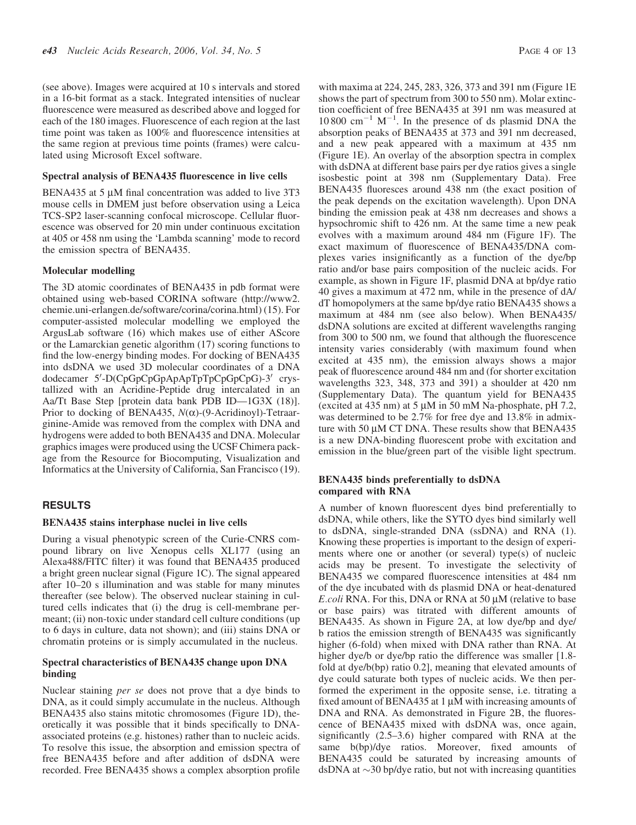(see above). Images were acquired at 10 s intervals and stored in a 16-bit format as a stack. Integrated intensities of nuclear fluorescence were measured as described above and logged for each of the 180 images. Fluorescence of each region at the last time point was taken as 100% and fluorescence intensities at the same region at previous time points (frames) were calculated using Microsoft Excel software.

#### Spectral analysis of BENA435 fluorescence in live cells

BENA435 at 5  $\mu$ M final concentration was added to live 3T3 mouse cells in DMEM just before observation using a Leica TCS-SP2 laser-scanning confocal microscope. Cellular fluorescence was observed for 20 min under continuous excitation at 405 or 458 nm using the 'Lambda scanning' mode to record the emission spectra of BENA435.

#### Molecular modelling

The 3D atomic coordinates of BENA435 in pdb format were obtained using web-based CORINA software ([http://www2.](http://www2) chemie.uni-erlangen.de/software/corina/corina.html) (15). For computer-assisted molecular modelling we employed the ArgusLab software (16) which makes use of either AScore or the Lamarckian genetic algorithm (17) scoring functions to find the low-energy binding modes. For docking of BENA435 into dsDNA we used 3D molecular coordinates of a DNA dodecamer 5'-D(CpGpCpGpApApTpTpCpGpCpG)-3' crystallized with an Acridine-Peptide drug intercalated in an Aa/Tt Base Step [protein data bank PDB ID—1G3X (18)]. Prior to docking of BENA435,  $N(\alpha)$ -(9-Acridinoyl)-Tetraarginine-Amide was removed from the complex with DNA and hydrogens were added to both BENA435 and DNA. Molecular graphics images were produced using the UCSF Chimera package from the Resource for Biocomputing, Visualization and Informatics at the University of California, San Francisco (19).

#### RESULTS

#### BENA435 stains interphase nuclei in live cells

During a visual phenotypic screen of the Curie-CNRS compound library on live Xenopus cells XL177 (using an Alexa488/FITC filter) it was found that BENA435 produced a bright green nuclear signal (Figure 1C). The signal appeared after 10–20 s illumination and was stable for many minutes thereafter (see below). The observed nuclear staining in cultured cells indicates that (i) the drug is cell-membrane permeant; (ii) non-toxic under standard cell culture conditions (up to 6 days in culture, data not shown); and (iii) stains DNA or chromatin proteins or is simply accumulated in the nucleus.

#### Spectral characteristics of BENA435 change upon DNA binding

Nuclear staining per se does not prove that a dye binds to DNA, as it could simply accumulate in the nucleus. Although BENA435 also stains mitotic chromosomes (Figure 1D), theoretically it was possible that it binds specifically to DNAassociated proteins (e.g. histones) rather than to nucleic acids. To resolve this issue, the absorption and emission spectra of free BENA435 before and after addition of dsDNA were recorded. Free BENA435 shows a complex absorption profile with maxima at 224, 245, 283, 326, 373 and 391 nm (Figure 1E shows the part of spectrum from 300 to 550 nm). Molar extinction coefficient of free BENA435 at 391 nm was measured at  $10\,800$  cm<sup>-1</sup> M<sup>-1</sup>. In the presence of ds plasmid DNA the absorption peaks of BENA435 at 373 and 391 nm decreased, and a new peak appeared with a maximum at 435 nm (Figure 1E). An overlay of the absorption spectra in complex with dsDNA at different base pairs per dye ratios gives a single isosbestic point at 398 nm (Supplementary Data). Free BENA435 fluoresces around 438 nm (the exact position of the peak depends on the excitation wavelength). Upon DNA binding the emission peak at 438 nm decreases and shows a hypsochromic shift to 426 nm. At the same time a new peak evolves with a maximum around 484 nm (Figure 1F). The exact maximum of fluorescence of BENA435/DNA complexes varies insignificantly as a function of the dye/bp ratio and/or base pairs composition of the nucleic acids. For example, as shown in Figure 1F, plasmid DNA at bp/dye ratio 40 gives a maximum at 472 nm, while in the presence of dA/ dT homopolymers at the same bp/dye ratio BENA435 shows a maximum at 484 nm (see also below). When BENA435/ dsDNA solutions are excited at different wavelengths ranging from 300 to 500 nm, we found that although the fluorescence intensity varies considerably (with maximum found when excited at 435 nm), the emission always shows a major peak of fluorescence around 484 nm and (for shorter excitation wavelengths 323, 348, 373 and 391) a shoulder at 420 nm (Supplementary Data). The quantum yield for BENA435 (excited at 435 nm) at 5  $\mu$ M in 50 mM Na-phosphate, pH 7.2, was determined to be 2.7% for free dye and 13.8% in admixture with 50 uM CT DNA. These results show that BENA435 is a new DNA-binding fluorescent probe with excitation and emission in the blue/green part of the visible light spectrum.

#### BENA435 binds preferentially to dsDNA compared with RNA

A number of known fluorescent dyes bind preferentially to dsDNA, while others, like the SYTO dyes bind similarly well to dsDNA, single-stranded DNA (ssDNA) and RNA (1). Knowing these properties is important to the design of experiments where one or another (or several) type(s) of nucleic acids may be present. To investigate the selectivity of BENA435 we compared fluorescence intensities at 484 nm of the dye incubated with ds plasmid DNA or heat-denatured E.coli RNA. For this, DNA or RNA at 50 uM (relative to base or base pairs) was titrated with different amounts of BENA435. As shown in Figure 2A, at low dye/bp and dye/ b ratios the emission strength of BENA435 was significantly higher (6-fold) when mixed with DNA rather than RNA. At higher dye/b or dye/bp ratio the difference was smaller [1.8fold at dye/b(bp) ratio 0.2], meaning that elevated amounts of dye could saturate both types of nucleic acids. We then performed the experiment in the opposite sense, i.e. titrating a fixed amount of BENA435 at  $1 \mu$ M with increasing amounts of DNA and RNA. As demonstrated in Figure 2B, the fluorescence of BENA435 mixed with dsDNA was, once again, significantly (2.5–3.6) higher compared with RNA at the same b(bp)/dye ratios. Moreover, fixed amounts of BENA435 could be saturated by increasing amounts of dsDNA at  $\sim$ 30 bp/dye ratio, but not with increasing quantities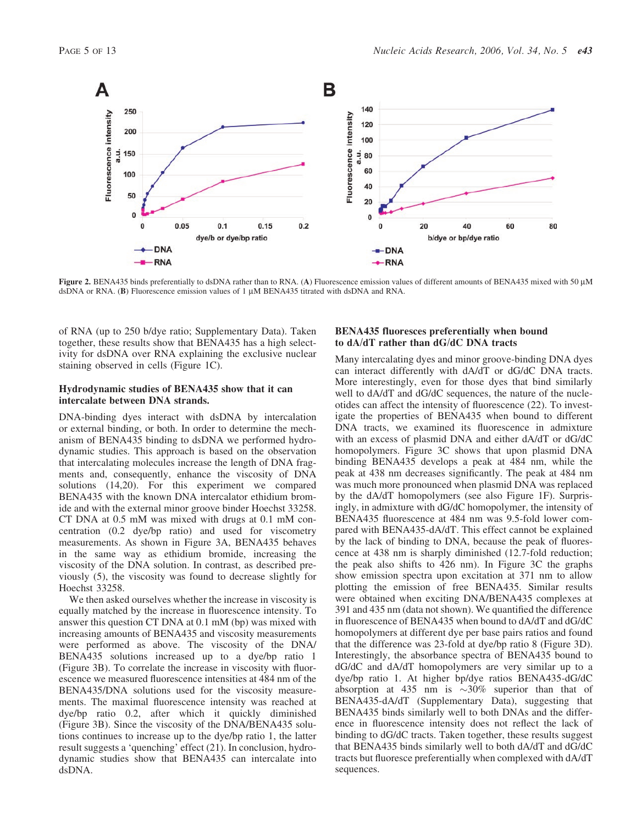

Figure 2. BENA435 binds preferentially to dsDNA rather than to RNA. (A) Fluorescence emission values of different amounts of BENA435 mixed with 50 µM dsDNA or RNA. (B) Fluorescence emission values of 1  $\mu$ M BENA435 titrated with dsDNA and RNA.

of RNA (up to 250 b/dye ratio; Supplementary Data). Taken together, these results show that BENA435 has a high selectivity for dsDNA over RNA explaining the exclusive nuclear staining observed in cells (Figure 1C).

#### Hydrodynamic studies of BENA435 show that it can intercalate between DNA strands.

DNA-binding dyes interact with dsDNA by intercalation or external binding, or both. In order to determine the mechanism of BENA435 binding to dsDNA we performed hydrodynamic studies. This approach is based on the observation that intercalating molecules increase the length of DNA fragments and, consequently, enhance the viscosity of DNA solutions (14,20). For this experiment we compared BENA435 with the known DNA intercalator ethidium bromide and with the external minor groove binder Hoechst 33258. CT DNA at 0.5 mM was mixed with drugs at 0.1 mM concentration (0.2 dye/bp ratio) and used for viscometry measurements. As shown in Figure 3A, BENA435 behaves in the same way as ethidium bromide, increasing the viscosity of the DNA solution. In contrast, as described previously (5), the viscosity was found to decrease slightly for Hoechst 33258.

We then asked ourselves whether the increase in viscosity is equally matched by the increase in fluorescence intensity. To answer this question CT DNA at 0.1 mM (bp) was mixed with increasing amounts of BENA435 and viscosity measurements were performed as above. The viscosity of the DNA/ BENA435 solutions increased up to a dye/bp ratio 1 (Figure 3B). To correlate the increase in viscosity with fluorescence we measured fluorescence intensities at 484 nm of the BENA435/DNA solutions used for the viscosity measurements. The maximal fluorescence intensity was reached at dye/bp ratio 0.2, after which it quickly diminished (Figure 3B). Since the viscosity of the DNA/BENA435 solutions continues to increase up to the dye/bp ratio 1, the latter result suggests a 'quenching' effect (21). In conclusion, hydrodynamic studies show that BENA435 can intercalate into dsDNA.

#### BENA435 fluoresces preferentially when bound to dA/dT rather than dG/dC DNA tracts

Many intercalating dyes and minor groove-binding DNA dyes can interact differently with dA/dT or dG/dC DNA tracts. More interestingly, even for those dyes that bind similarly well to  $dA/dT$  and  $dG/dC$  sequences, the nature of the nucleotides can affect the intensity of fluorescence (22). To investigate the properties of BENA435 when bound to different DNA tracts, we examined its fluorescence in admixture with an excess of plasmid DNA and either dA/dT or dG/dC homopolymers. Figure 3C shows that upon plasmid DNA binding BENA435 develops a peak at 484 nm, while the peak at 438 nm decreases significantly. The peak at 484 nm was much more pronounced when plasmid DNA was replaced by the dA/dT homopolymers (see also Figure 1F). Surprisingly, in admixture with dG/dC homopolymer, the intensity of BENA435 fluorescence at 484 nm was 9.5-fold lower compared with BENA435-dA/dT. This effect cannot be explained by the lack of binding to DNA, because the peak of fluorescence at 438 nm is sharply diminished (12.7-fold reduction; the peak also shifts to 426 nm). In Figure 3C the graphs show emission spectra upon excitation at 371 nm to allow plotting the emission of free BENA435. Similar results were obtained when exciting DNA/BENA435 complexes at 391 and 435 nm (data not shown). We quantified the difference in fluorescence of BENA435 when bound to dA/dT and dG/dC homopolymers at different dye per base pairs ratios and found that the difference was 23-fold at dye/bp ratio 8 (Figure 3D). Interestingly, the absorbance spectra of BENA435 bound to dG/dC and dA/dT homopolymers are very similar up to a dye/bp ratio 1. At higher bp/dye ratios BENA435-dG/dC absorption at 435 nm is  $\sim 30\%$  superior than that of BENA435-dA/dT (Supplementary Data), suggesting that BENA435 binds similarly well to both DNAs and the difference in fluorescence intensity does not reflect the lack of binding to dG/dC tracts. Taken together, these results suggest that BENA435 binds similarly well to both dA/dT and dG/dC tracts but fluoresce preferentially when complexed with dA/dT sequences.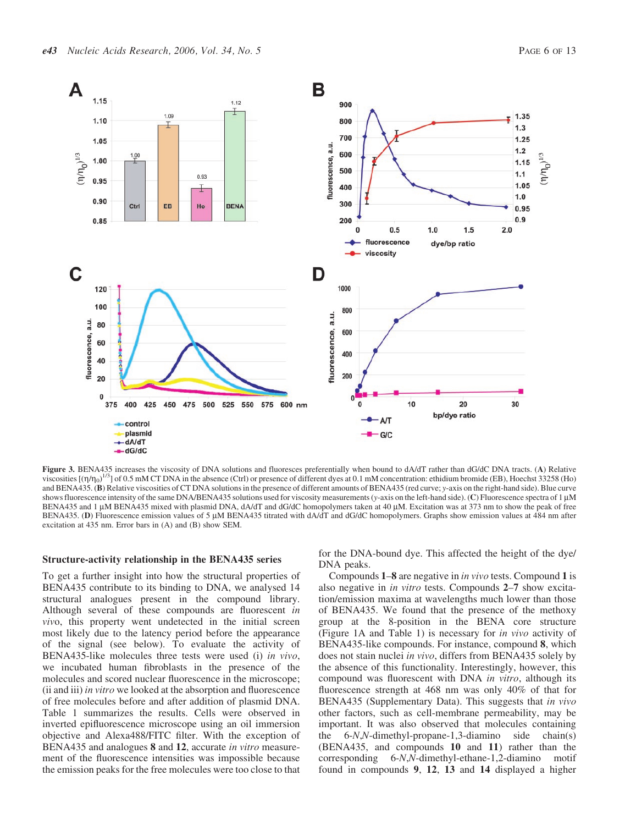

Figure 3. BENA435 increases the viscosity of DNA solutions and fluoresces preferentially when bound to dA/dT rather than dG/dC DNA tracts. (A) Relative viscosities  $[(\eta/\eta_0)^{1/3}]$  of 0.5 mM CT DNA in the absence (Ctrl) or presence of different dyes at 0.1 mM concentration: ethidium bromide (EB), Hoechst 33258 (Ho) and BENA435. (B) Relative viscosities of CT DNA solutions in the presence of different amounts of BENA435 (red curve; y-axis on the right-hand side). Blue curve shows fluorescence intensity of the same DNA/BENA435 solutions used for viscosity measurements (y-axis on the left-hand side). (C) Fluorescence spectra of 1 µM BENA435 and 1 µM BENA435 mixed with plasmid DNA, dA/dT and dG/dC homopolymers taken at 40 µM. Excitation was at 373 nm to show the peak of free BENA435. (D) Fluorescence emission values of 5 µM BENA435 titrated with dA/dT and dG/dC homopolymers. Graphs show emission values at 484 nm after excitation at 435 nm. Error bars in (A) and (B) show SEM.

#### Structure-activity relationship in the BENA435 series

To get a further insight into how the structural properties of BENA435 contribute to its binding to DNA, we analysed 14 structural analogues present in the compound library. Although several of these compounds are fluorescent in vivo, this property went undetected in the initial screen most likely due to the latency period before the appearance of the signal (see below). To evaluate the activity of BENA435-like molecules three tests were used (i) in vivo, we incubated human fibroblasts in the presence of the molecules and scored nuclear fluorescence in the microscope; (ii and iii) in vitro we looked at the absorption and fluorescence of free molecules before and after addition of plasmid DNA. Table 1 summarizes the results. Cells were observed in inverted epifluorescence microscope using an oil immersion objective and Alexa488/FITC filter. With the exception of BENA435 and analogues 8 and 12, accurate *in vitro* measurement of the fluorescence intensities was impossible because the emission peaks for the free molecules were too close to that for the DNA-bound dye. This affected the height of the dye/ DNA peaks.

Compounds 1–8 are negative in in vivo tests. Compound 1 is also negative in in vitro tests. Compounds 2–7 show excitation/emission maxima at wavelengths much lower than those of BENA435. We found that the presence of the methoxy group at the 8-position in the BENA core structure (Figure 1A and Table 1) is necessary for in vivo activity of BENA435-like compounds. For instance, compound 8, which does not stain nuclei in vivo, differs from BENA435 solely by the absence of this functionality. Interestingly, however, this compound was fluorescent with DNA in vitro, although its fluorescence strength at 468 nm was only 40% of that for BENA435 (Supplementary Data). This suggests that in vivo other factors, such as cell-membrane permeability, may be important. It was also observed that molecules containing the 6-N,N-dimethyl-propane-1,3-diamino side chain(s) (BENA435, and compounds 10 and 11) rather than the corresponding 6-N,N-dimethyl-ethane-1,2-diamino motif found in compounds 9, 12, 13 and 14 displayed a higher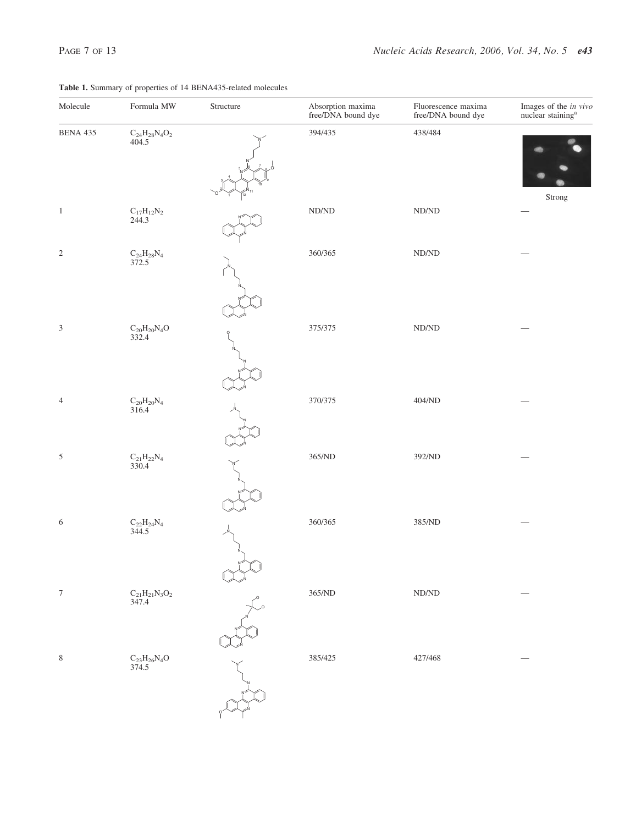| Formula MW                                        | Structure | Absorption maxima<br>free/DNA bound dye | Fluorescence maxima<br>free/DNA bound dye | Images of the in vivo<br>nuclear staining <sup>a</sup> |
|---------------------------------------------------|-----------|-----------------------------------------|-------------------------------------------|--------------------------------------------------------|
| $\rm{C_{24}H_{28}N_4O_2}$ 404.5                   |           | 394/435                                 | 438/484                                   |                                                        |
| $\rm C_{17}H_{12}N_2\\ 244.3$                     |           | $\rm{ND} / \rm{ND}$                     | $\rm N D/\rm N D$                         | Strong                                                 |
| $\rm{C_{24}H_{28}N_4}$<br>372.5                   |           | 360/365                                 | $\rm N D/\rm N D$                         |                                                        |
| $\rm{C}_{20}\rm{H}_{20}\rm{N}_{4}\rm{O}$<br>332.4 |           | 375/375                                 | $\rm N D/\rm N D$                         |                                                        |
| $\rm C_{20}H_{20}N_{4}$ 316.4                     |           | 370/375                                 | 404/ND                                    |                                                        |
| $\rm C_{21}H_{22}N_{4}$ 330.4                     |           | 365/ND                                  | 392/ND                                    |                                                        |
| $\rm{C_{22}H_{24}N_{4}}$ 344.5                    |           | 360/365                                 | 385/ND                                    |                                                        |
| $\rm C_{21}H_{21}N_3O_2$ 347.4                    |           | $365/ND$                                | $\rm N D/\rm N D$                         |                                                        |
| $\rm{C}_{23}\rm{H}_{26}\rm{N}_{4}\rm{O}$ 374.5    |           | 385/425                                 | 427/468                                   |                                                        |
|                                                   |           |                                         |                                           |                                                        |

#### Table 1. Summary of properties of 14 BENA435-related molecules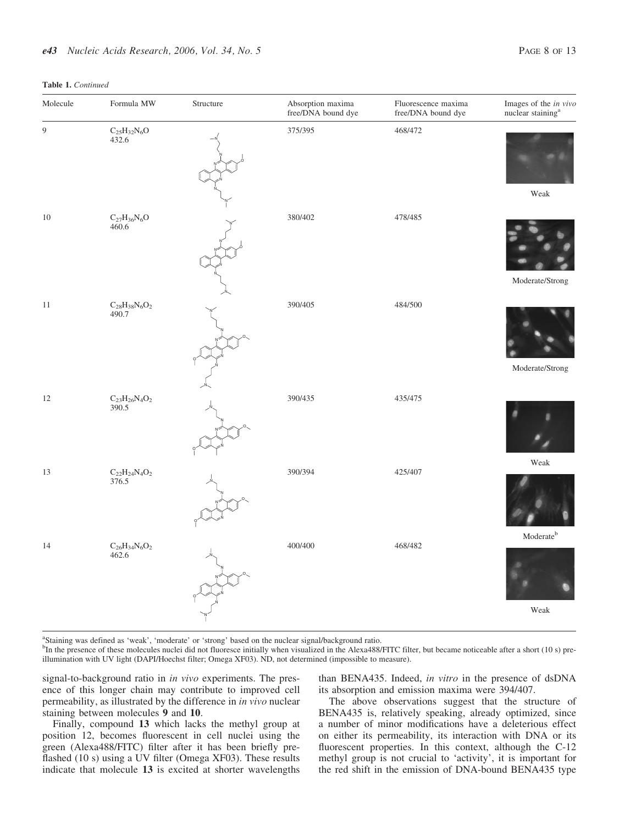#### Table 1. Continued

| Molecule | Formula MW                                     | Structure | Absorption maxima<br>free/DNA bound dye | Fluorescence maxima<br>free/DNA bound dye | Images of the <i>in vivo</i> nuclear staining <sup>a</sup> |
|----------|------------------------------------------------|-----------|-----------------------------------------|-------------------------------------------|------------------------------------------------------------|
| 9        | $\rm{C_{25}H_{32}N_6O}$ 432.6                  |           | 375/395                                 | 468/472                                   |                                                            |
| $10\,$   | $\rm{C}_{27}\rm{H}_{36}\rm{N}_{6}\rm{O}$ 460.6 |           | 380/402                                 | 478/485                                   | Weak                                                       |
| $1\,1$   | $\rm{C}_{28}H_{38}N_6O_2$ 490.7                |           | 390/405                                 | 484/500                                   | Moderate/Strong                                            |
|          |                                                |           |                                         |                                           | Moderate/Strong                                            |
| $12\,$   | $\rm{C_{23}H_{26}N_4O_2}$ 390.5                |           | 390/435                                 | 435/475                                   |                                                            |
| 13       | $\rm{C_{22}H_{24}N_4O_2}$ 376.5                |           | 390/394                                 | 425/407                                   | Weak                                                       |
| 14       | $\rm C_{26}H_{34}N_6O_2$ 462.6                 |           | 400/400                                 | 468/482                                   | $\bf{M} \bf{oderate}^b$                                    |
|          |                                                |           |                                         |                                           | Weak                                                       |

<sup>a</sup>Staining was defined as 'weak', 'moderate' or 'strong' based on the nuclear signal/background ratio.

illumination with UV light (DAPI/Hoechst filter; Omega XF03). ND, not determined (impossible to measure). <sup>b</sup>In the presence of these molecules nuclei did not fluoresce initially when visualized in the Alexa488/FITC filter, but became noticeable after a short (10 s) pre-

signal-to-background ratio in in vivo experiments. The presence of this longer chain may contribute to improved cell permeability, as illustrated by the difference in in vivo nuclear staining between molecules 9 and 10.

Finally, compound 13 which lacks the methyl group at position 12, becomes fluorescent in cell nuclei using the green (Alexa488/FITC) filter after it has been briefly preflashed (10 s) using a UV filter (Omega XF03). These results indicate that molecule 13 is excited at shorter wavelengths than BENA435. Indeed, in vitro in the presence of dsDNA its absorption and emission maxima were 394/407.

The above observations suggest that the structure of BENA435 is, relatively speaking, already optimized, since a number of minor modifications have a deleterious effect on either its permeability, its interaction with DNA or its fluorescent properties. In this context, although the C-12 methyl group is not crucial to 'activity', it is important for the red shift in the emission of DNA-bound BENA435 type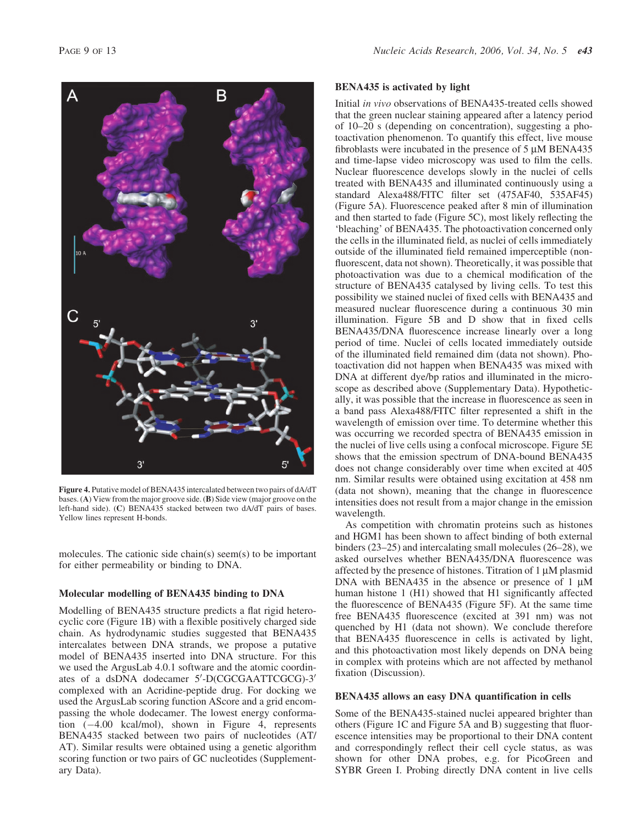

Figure 4. Putative model of BENA435 intercalated between two pairs of dA/dT bases. (A) View from the major groove side. (B) Side view (major groove on the left-hand side). (C) BENA435 stacked between two dA/dT pairs of bases. Yellow lines represent H-bonds.

molecules. The cationic side chain(s) seem(s) to be important for either permeability or binding to DNA.

#### Molecular modelling of BENA435 binding to DNA

Modelling of BENA435 structure predicts a flat rigid heterocyclic core (Figure 1B) with a flexible positively charged side chain. As hydrodynamic studies suggested that BENA435 intercalates between DNA strands, we propose a putative model of BENA435 inserted into DNA structure. For this we used the ArgusLab 4.0.1 software and the atomic coordinates of a dsDNA dodecamer 5'-D(CGCGAATTCGCG)-3' complexed with an Acridine-peptide drug. For docking we used the ArgusLab scoring function AScore and a grid encompassing the whole dodecamer. The lowest energy conformation  $(-4.00 \text{ kcal/mol})$ , shown in Figure 4, represents BENA435 stacked between two pairs of nucleotides (AT/ AT). Similar results were obtained using a genetic algorithm scoring function or two pairs of GC nucleotides (Supplementary Data).

#### BENA435 is activated by light

Initial in vivo observations of BENA435-treated cells showed that the green nuclear staining appeared after a latency period of 10–20 s (depending on concentration), suggesting a photoactivation phenomenon. To quantify this effect, live mouse fibroblasts were incubated in the presence of  $5 \mu M$  BENA435 and time-lapse video microscopy was used to film the cells. Nuclear fluorescence develops slowly in the nuclei of cells treated with BENA435 and illuminated continuously using a standard Alexa488/FITC filter set (475AF40, 535AF45) (Figure 5A). Fluorescence peaked after 8 min of illumination and then started to fade (Figure 5C), most likely reflecting the 'bleaching' of BENA435. The photoactivation concerned only the cells in the illuminated field, as nuclei of cells immediately outside of the illuminated field remained imperceptible (nonfluorescent, data not shown). Theoretically, it was possible that photoactivation was due to a chemical modification of the structure of BENA435 catalysed by living cells. To test this possibility we stained nuclei of fixed cells with BENA435 and measured nuclear fluorescence during a continuous 30 min illumination. Figure 5B and D show that in fixed cells BENA435/DNA fluorescence increase linearly over a long period of time. Nuclei of cells located immediately outside of the illuminated field remained dim (data not shown). Photoactivation did not happen when BENA435 was mixed with DNA at different dye/bp ratios and illuminated in the microscope as described above (Supplementary Data). Hypothetically, it was possible that the increase in fluorescence as seen in a band pass Alexa488/FITC filter represented a shift in the wavelength of emission over time. To determine whether this was occurring we recorded spectra of BENA435 emission in the nuclei of live cells using a confocal microscope. Figure 5E shows that the emission spectrum of DNA-bound BENA435 does not change considerably over time when excited at 405 nm. Similar results were obtained using excitation at 458 nm (data not shown), meaning that the change in fluorescence intensities does not result from a major change in the emission wavelength.

As competition with chromatin proteins such as histones and HGM1 has been shown to affect binding of both external binders (23–25) and intercalating small molecules (26–28), we asked ourselves whether BENA435/DNA fluorescence was affected by the presence of histones. Titration of  $1 \mu M$  plasmid DNA with BENA435 in the absence or presence of  $1 \mu$ M human histone 1 (H1) showed that H1 significantly affected the fluorescence of BENA435 (Figure 5F). At the same time free BENA435 fluorescence (excited at 391 nm) was not quenched by H1 (data not shown). We conclude therefore that BENA435 fluorescence in cells is activated by light, and this photoactivation most likely depends on DNA being in complex with proteins which are not affected by methanol fixation (Discussion).

#### BENA435 allows an easy DNA quantification in cells

Some of the BENA435-stained nuclei appeared brighter than others (Figure 1C and Figure 5A and B) suggesting that fluorescence intensities may be proportional to their DNA content and correspondingly reflect their cell cycle status, as was shown for other DNA probes, e.g. for PicoGreen and SYBR Green I. Probing directly DNA content in live cells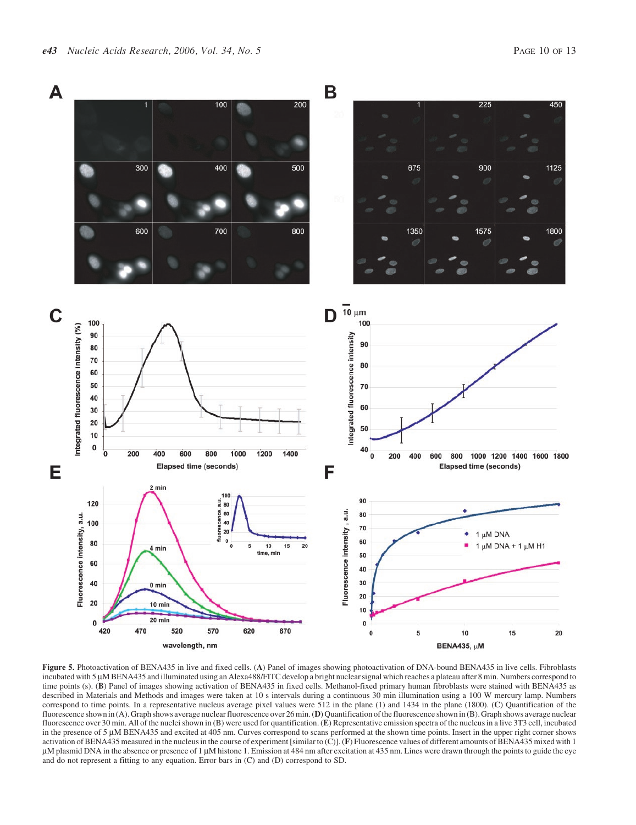

Figure 5. Photoactivation of BENA435 in live and fixed cells. (A) Panel of images showing photoactivation of DNA-bound BENA435 in live cells. Fibroblasts incubated with 5 µM BENA435 and illuminated using an Alexa488/FITC develop a bright nuclear signal which reaches a plateau after 8 min. Numbers correspond to time points (s). (B) Panel of images showing activation of BENA435 in fixed cells. Methanol-fixed primary human fibroblasts were stained with BENA435 as described in Materials and Methods and images were taken at 10 s intervals during a continuous 30 min illumination using a 100 W mercury lamp. Numbers correspond to time points. In a representative nucleus average pixel values were 512 in the plane (1) and 1434 in the plane (1800). (C) Quantification of the fluorescence shown in (A). Graph shows average nuclear fluorescence over 26 min. (D) Quantification of the fluorescence shown in (B). Graph shows average nuclear fluorescence over 30 min. All of the nuclei shown in (B) were used for quantification. (E) Representative emission spectra of the nucleus in a live 3T3 cell, incubated in the presence of  $5 \mu$ M BENA435 and excited at 405 nm. Curves correspond to scans performed at the shown time points. Insert in the upper right corner shows activation of BENA435 measured in the nucleus in the course of experiment [similar to (C)]. (F) Fluorescence values of different amounts of BENA435 mixed with 1 uM plasmid DNA in the absence or presence of 1 µM histone 1. Emission at 484 nm after excitation at 435 nm. Lines were drawn through the points to guide the eye and do not represent a fitting to any equation. Error bars in (C) and (D) correspond to SD.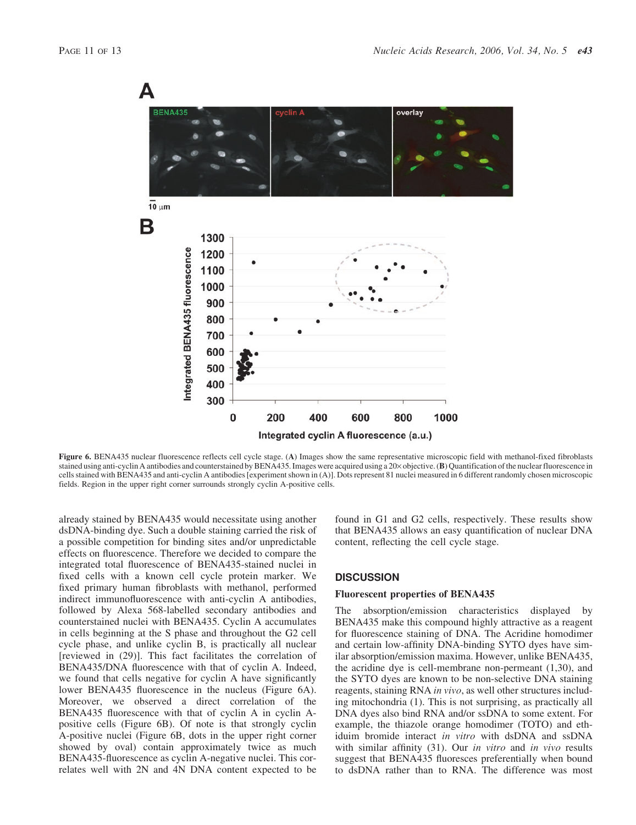

Figure 6. BENA435 nuclear fluorescence reflects cell cycle stage. (A) Images show the same representative microscopic field with methanol-fixed fibroblasts stained using anti-cyclin A antibodies and counterstained by BENA435. Images were acquired using a 20× objective. (B) Quantification of the nuclear fluorescence in cells stained with BENA435 and anti-cyclin A antibodies [experiment shown in (A)]. Dots represent 81 nuclei measured in 6 different randomly chosen microscopic fields. Region in the upper right corner surrounds strongly cyclin A-positive cells.

already stained by BENA435 would necessitate using another dsDNA-binding dye. Such a double staining carried the risk of a possible competition for binding sites and/or unpredictable effects on fluorescence. Therefore we decided to compare the integrated total fluorescence of BENA435-stained nuclei in fixed cells with a known cell cycle protein marker. We fixed primary human fibroblasts with methanol, performed indirect immunofluorescence with anti-cyclin A antibodies, followed by Alexa 568-labelled secondary antibodies and counterstained nuclei with BENA435. Cyclin A accumulates in cells beginning at the S phase and throughout the G2 cell cycle phase, and unlike cyclin B, is practically all nuclear [reviewed in (29)]. This fact facilitates the correlation of BENA435/DNA fluorescence with that of cyclin A. Indeed, we found that cells negative for cyclin A have significantly lower BENA435 fluorescence in the nucleus (Figure 6A). Moreover, we observed a direct correlation of the BENA435 fluorescence with that of cyclin A in cyclin Apositive cells (Figure 6B). Of note is that strongly cyclin A-positive nuclei (Figure 6B, dots in the upper right corner showed by oval) contain approximately twice as much BENA435-fluorescence as cyclin A-negative nuclei. This correlates well with 2N and 4N DNA content expected to be found in G1 and G2 cells, respectively. These results show that BENA435 allows an easy quantification of nuclear DNA content, reflecting the cell cycle stage.

#### **DISCUSSION**

#### Fluorescent properties of BENA435

The absorption/emission characteristics displayed by BENA435 make this compound highly attractive as a reagent for fluorescence staining of DNA. The Acridine homodimer and certain low-affinity DNA-binding SYTO dyes have similar absorption/emission maxima. However, unlike BENA435, the acridine dye is cell-membrane non-permeant (1,30), and the SYTO dyes are known to be non-selective DNA staining reagents, staining RNA in vivo, as well other structures including mitochondria (1). This is not surprising, as practically all DNA dyes also bind RNA and/or ssDNA to some extent. For example, the thiazole orange homodimer (TOTO) and ethiduim bromide interact in vitro with dsDNA and ssDNA with similar affinity (31). Our *in vitro* and *in vivo* results suggest that BENA435 fluoresces preferentially when bound to dsDNA rather than to RNA. The difference was most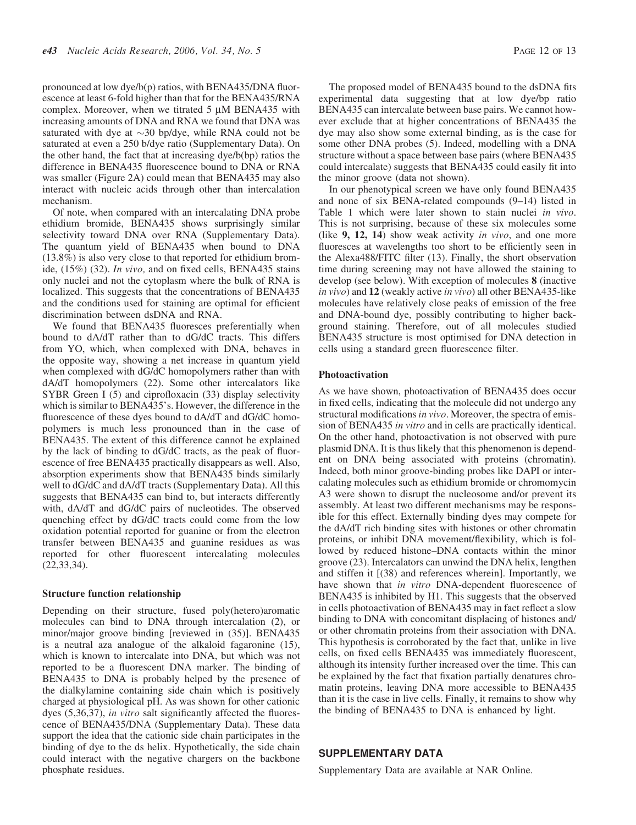pronounced at low dye/b(p) ratios, with BENA435/DNA fluorescence at least 6-fold higher than that for the BENA435/RNA complex. Moreover, when we titrated  $5 \mu M$  BENA435 with increasing amounts of DNA and RNA we found that DNA was saturated with dye at  $\sim$ 30 bp/dye, while RNA could not be saturated at even a 250 b/dye ratio (Supplementary Data). On the other hand, the fact that at increasing dye/b(bp) ratios the difference in BENA435 fluorescence bound to DNA or RNA was smaller (Figure 2A) could mean that BENA435 may also interact with nucleic acids through other than intercalation mechanism.

Of note, when compared with an intercalating DNA probe ethidium bromide, BENA435 shows surprisingly similar selectivity toward DNA over RNA (Supplementary Data). The quantum yield of BENA435 when bound to DNA (13.8%) is also very close to that reported for ethidium bromide, (15%) (32). In vivo, and on fixed cells, BENA435 stains only nuclei and not the cytoplasm where the bulk of RNA is localized. This suggests that the concentrations of BENA435 and the conditions used for staining are optimal for efficient discrimination between dsDNA and RNA.

We found that BENA435 fluoresces preferentially when bound to dA/dT rather than to dG/dC tracts. This differs from YO, which, when complexed with DNA, behaves in the opposite way, showing a net increase in quantum yield when complexed with dG/dC homopolymers rather than with dA/dT homopolymers (22). Some other intercalators like SYBR Green I (5) and ciprofloxacin (33) display selectivity which is similar to BENA435's. However, the difference in the fluorescence of these dyes bound to dA/dT and dG/dC homopolymers is much less pronounced than in the case of BENA435. The extent of this difference cannot be explained by the lack of binding to dG/dC tracts, as the peak of fluorescence of free BENA435 practically disappears as well. Also, absorption experiments show that BENA435 binds similarly well to dG/dC and dA/dT tracts (Supplementary Data). All this suggests that BENA435 can bind to, but interacts differently with, dA/dT and dG/dC pairs of nucleotides. The observed quenching effect by dG/dC tracts could come from the low oxidation potential reported for guanine or from the electron transfer between BENA435 and guanine residues as was reported for other fluorescent intercalating molecules (22,33,34).

#### Structure function relationship

Depending on their structure, fused poly(hetero)aromatic molecules can bind to DNA through intercalation (2), or minor/major groove binding [reviewed in (35)]. BENA435 is a neutral aza analogue of the alkaloid fagaronine (15), which is known to intercalate into DNA, but which was not reported to be a fluorescent DNA marker. The binding of BENA435 to DNA is probably helped by the presence of the dialkylamine containing side chain which is positively charged at physiological pH. As was shown for other cationic dyes (5,36,37), in vitro salt significantly affected the fluorescence of BENA435/DNA (Supplementary Data). These data support the idea that the cationic side chain participates in the binding of dye to the ds helix. Hypothetically, the side chain could interact with the negative chargers on the backbone phosphate residues.

The proposed model of BENA435 bound to the dsDNA fits experimental data suggesting that at low dye/bp ratio BENA435 can intercalate between base pairs. We cannot however exclude that at higher concentrations of BENA435 the

dye may also show some external binding, as is the case for some other DNA probes (5). Indeed, modelling with a DNA structure without a space between base pairs (where BENA435 could intercalate) suggests that BENA435 could easily fit into the minor groove (data not shown).

In our phenotypical screen we have only found BENA435 and none of six BENA-related compounds (9–14) listed in Table 1 which were later shown to stain nuclei in vivo. This is not surprising, because of these six molecules some (like  $9$ , 12, 14) show weak activity in vivo, and one more fluoresces at wavelengths too short to be efficiently seen in the Alexa488/FITC filter (13). Finally, the short observation time during screening may not have allowed the staining to develop (see below). With exception of molecules 8 (inactive in vivo) and 12 (weakly active in vivo) all other BENA435-like molecules have relatively close peaks of emission of the free and DNA-bound dye, possibly contributing to higher background staining. Therefore, out of all molecules studied BENA435 structure is most optimised for DNA detection in cells using a standard green fluorescence filter.

#### Photoactivation

As we have shown, photoactivation of BENA435 does occur in fixed cells, indicating that the molecule did not undergo any structural modifications in vivo. Moreover, the spectra of emission of BENA435 in vitro and in cells are practically identical. On the other hand, photoactivation is not observed with pure plasmid DNA. It is thus likely that this phenomenon is dependent on DNA being associated with proteins (chromatin). Indeed, both minor groove-binding probes like DAPI or intercalating molecules such as ethidium bromide or chromomycin A3 were shown to disrupt the nucleosome and/or prevent its assembly. At least two different mechanisms may be responsible for this effect. Externally binding dyes may compete for the dA/dT rich binding sites with histones or other chromatin proteins, or inhibit DNA movement/flexibility, which is followed by reduced histone–DNA contacts within the minor groove (23). Intercalators can unwind the DNA helix, lengthen and stiffen it [(38) and references wherein]. Importantly, we have shown that in vitro DNA-dependent fluorescence of BENA435 is inhibited by H1. This suggests that the observed in cells photoactivation of BENA435 may in fact reflect a slow binding to DNA with concomitant displacing of histones and/ or other chromatin proteins from their association with DNA. This hypothesis is corroborated by the fact that, unlike in live cells, on fixed cells BENA435 was immediately fluorescent, although its intensity further increased over the time. This can be explained by the fact that fixation partially denatures chromatin proteins, leaving DNA more accessible to BENA435 than it is the case in live cells. Finally, it remains to show why the binding of BENA435 to DNA is enhanced by light.

#### SUPPLEMENTARY DATA

Supplementary Data are available at NAR Online.